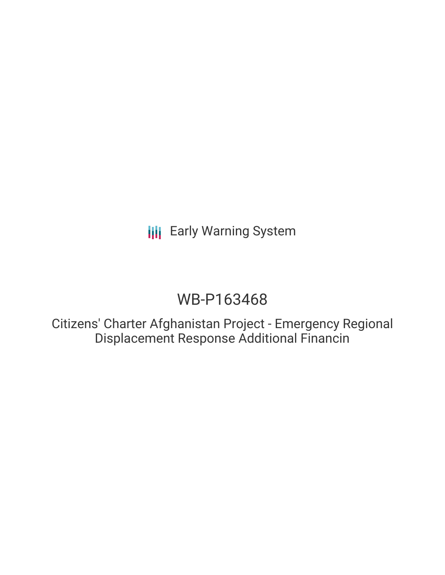**III** Early Warning System

# WB-P163468

Citizens' Charter Afghanistan Project - Emergency Regional Displacement Response Additional Financin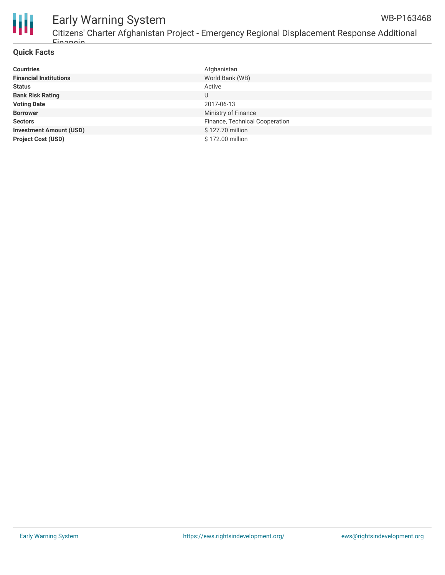

## Early Warning System

#### **Quick Facts**

| <b>Countries</b>               | Afghanistan                    |
|--------------------------------|--------------------------------|
| <b>Financial Institutions</b>  | World Bank (WB)                |
| <b>Status</b>                  | Active                         |
| <b>Bank Risk Rating</b>        | U                              |
| <b>Voting Date</b>             | 2017-06-13                     |
| <b>Borrower</b>                | Ministry of Finance            |
| <b>Sectors</b>                 | Finance, Technical Cooperation |
| <b>Investment Amount (USD)</b> | \$127.70 million               |
| <b>Project Cost (USD)</b>      | \$172.00 million               |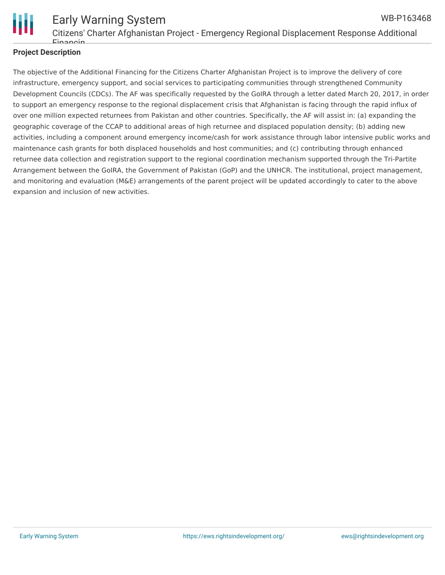

#### **Project Description**

The objective of the Additional Financing for the Citizens Charter Afghanistan Project is to improve the delivery of core infrastructure, emergency support, and social services to participating communities through strengthened Community Development Councils (CDCs). The AF was specifically requested by the GoIRA through a letter dated March 20, 2017, in order to support an emergency response to the regional displacement crisis that Afghanistan is facing through the rapid influx of over one million expected returnees from Pakistan and other countries. Specifically, the AF will assist in: (a) expanding the geographic coverage of the CCAP to additional areas of high returnee and displaced population density; (b) adding new activities, including a component around emergency income/cash for work assistance through labor intensive public works and maintenance cash grants for both displaced households and host communities; and (c) contributing through enhanced returnee data collection and registration support to the regional coordination mechanism supported through the Tri-Partite Arrangement between the GoIRA, the Government of Pakistan (GoP) and the UNHCR. The institutional, project management, and monitoring and evaluation (M&E) arrangements of the parent project will be updated accordingly to cater to the above expansion and inclusion of new activities.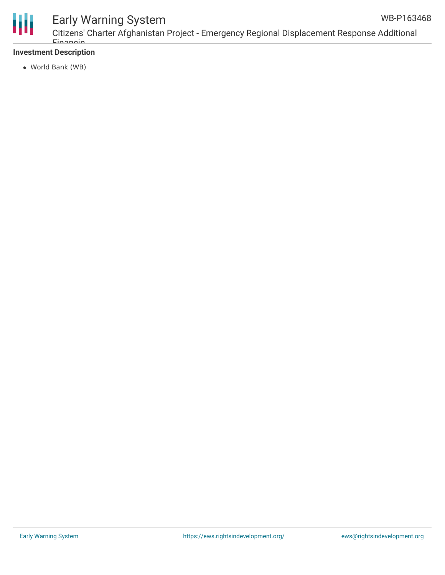

## Early Warning System

Citizens' Charter Afghanistan Project - Emergency Regional Displacement Response Additional Financin WB-P163468

#### **Investment Description**

World Bank (WB)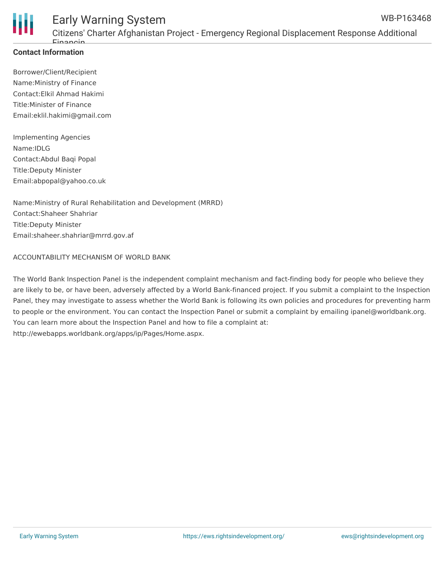

#### **Contact Information**

Borrower/Client/Recipient Name:Ministry of Finance Contact:Elkil Ahmad Hakimi Title:Minister of Finance Email:eklil.hakimi@gmail.com

Implementing Agencies Name:IDLG Contact:Abdul Baqi Popal Title:Deputy Minister Email:abpopal@yahoo.co.uk

Name:Ministry of Rural Rehabilitation and Development (MRRD) Contact:Shaheer Shahriar Title:Deputy Minister Email:shaheer.shahriar@mrrd.gov.af

#### ACCOUNTABILITY MECHANISM OF WORLD BANK

The World Bank Inspection Panel is the independent complaint mechanism and fact-finding body for people who believe they are likely to be, or have been, adversely affected by a World Bank-financed project. If you submit a complaint to the Inspection Panel, they may investigate to assess whether the World Bank is following its own policies and procedures for preventing harm to people or the environment. You can contact the Inspection Panel or submit a complaint by emailing ipanel@worldbank.org. You can learn more about the Inspection Panel and how to file a complaint at: http://ewebapps.worldbank.org/apps/ip/Pages/Home.aspx.